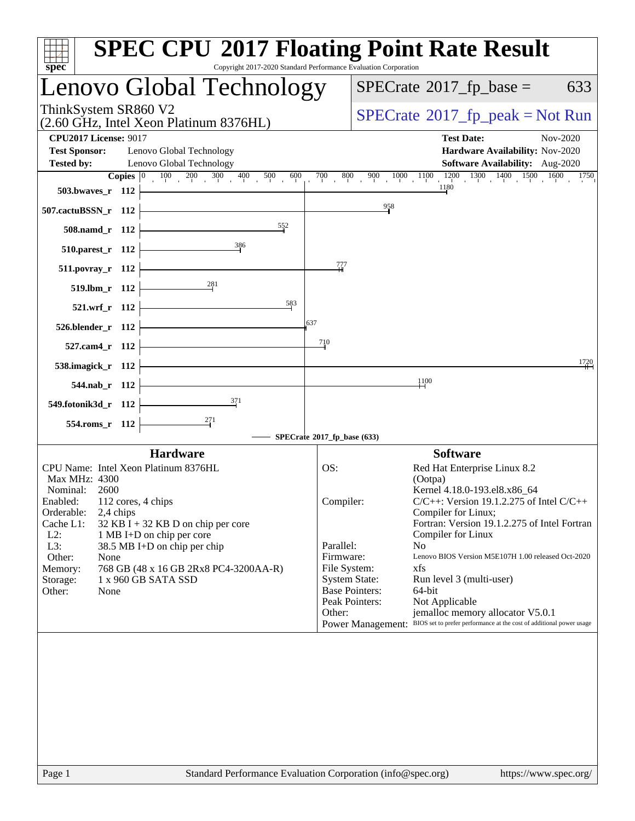| $spec^*$                                                                                                | <b>SPEC CPU®2017 Floating Point Rate Result</b><br>Copyright 2017-2020 Standard Performance Evaluation Corporation                                                                                           |
|---------------------------------------------------------------------------------------------------------|--------------------------------------------------------------------------------------------------------------------------------------------------------------------------------------------------------------|
| Lenovo Global Technology                                                                                | $SPECrate^{\circ}2017$ _fp_base =<br>633                                                                                                                                                                     |
| ThinkSystem SR860 V2<br>(2.60 GHz, Intel Xeon Platinum 8376HL)                                          | $SPECrate^{\circ}2017$ [p_peak = Not Run                                                                                                                                                                     |
| <b>CPU2017 License: 9017</b><br><b>Test Sponsor:</b><br>Lenovo Global Technology                        | <b>Test Date:</b><br>Nov-2020<br>Hardware Availability: Nov-2020                                                                                                                                             |
| Lenovo Global Technology<br><b>Tested by:</b>                                                           | <b>Software Availability:</b> Aug-2020                                                                                                                                                                       |
| <b>Copies</b> $\begin{bmatrix} 0 & 100 & 200 & 300 & 400 & 500 & 600 \end{bmatrix}$<br>503.bwaves_r 112 | $\frac{900}{1000} - \frac{1000}{1000} - \frac{1100}{1180} - \frac{1200}{1300} - \frac{1300}{100} - \frac{1400}{1500} - \frac{1500}{1000} - \frac{1600}{1750} - \frac{1750}{1500}$<br>$\overline{700}$<br>800 |
| 507.cactuBSSN_r 112                                                                                     | $\frac{958}{1}$                                                                                                                                                                                              |
| 552<br>508.namd_r 112                                                                                   |                                                                                                                                                                                                              |
| 386<br>$510.parest_r$ 112                                                                               |                                                                                                                                                                                                              |
| 511.povray_r 112                                                                                        | 777                                                                                                                                                                                                          |
| $\frac{281}{5}$<br>519.lbm_r 112                                                                        |                                                                                                                                                                                                              |
| 583<br>521.wrf_r 112                                                                                    |                                                                                                                                                                                                              |
| 526.blender_r 112                                                                                       | 637                                                                                                                                                                                                          |
| 527.cam4_r 112                                                                                          | 710                                                                                                                                                                                                          |
| 538.imagick_r 112                                                                                       | 1720                                                                                                                                                                                                         |
| 544.nab_r 112                                                                                           | $\frac{1100}{1}$                                                                                                                                                                                             |
| $\frac{371}{2}$<br>549.fotonik3d_r 112                                                                  |                                                                                                                                                                                                              |
| 554.roms_r 112                                                                                          |                                                                                                                                                                                                              |
|                                                                                                         | SPECrate®2017_fp_base (633)                                                                                                                                                                                  |
| <b>Hardware</b><br>CPU Name: Intel Xeon Platinum 8376HL                                                 | <b>Software</b><br>OS:<br>Red Hat Enterprise Linux 8.2                                                                                                                                                       |
| Max MHz: 4300                                                                                           | (Ootpa)                                                                                                                                                                                                      |
| Nominal:<br>2600<br>Enabled: 112 cores, 4 chips                                                         | Kernel 4.18.0-193.el8.x86_64<br>$C/C++$ : Version 19.1.2.275 of Intel $C/C++$<br>Compiler:                                                                                                                   |
| Orderable:<br>2,4 chips<br>Cache L1:<br>32 KB I + 32 KB D on chip per core                              | Compiler for Linux;<br>Fortran: Version 19.1.2.275 of Intel Fortran                                                                                                                                          |
| $L2$ :<br>1 MB I+D on chip per core<br>L3:                                                              | Compiler for Linux<br>Parallel:<br>N <sub>o</sub>                                                                                                                                                            |
| 38.5 MB I+D on chip per chip<br>Other:<br>None                                                          | Firmware:<br>Lenovo BIOS Version M5E107H 1.00 released Oct-2020                                                                                                                                              |
| 768 GB (48 x 16 GB 2Rx8 PC4-3200AA-R)<br>Memory:<br>1 x 960 GB SATA SSD<br>Storage:                     | xfs<br>File System:<br><b>System State:</b><br>Run level 3 (multi-user)                                                                                                                                      |
| Other:<br>None                                                                                          | <b>Base Pointers:</b><br>64-bit                                                                                                                                                                              |
|                                                                                                         | Peak Pointers:<br>Not Applicable<br>Other:<br>jemalloc memory allocator V5.0.1                                                                                                                               |
|                                                                                                         | Power Management: BIOS set to prefer performance at the cost of additional power usage                                                                                                                       |
|                                                                                                         |                                                                                                                                                                                                              |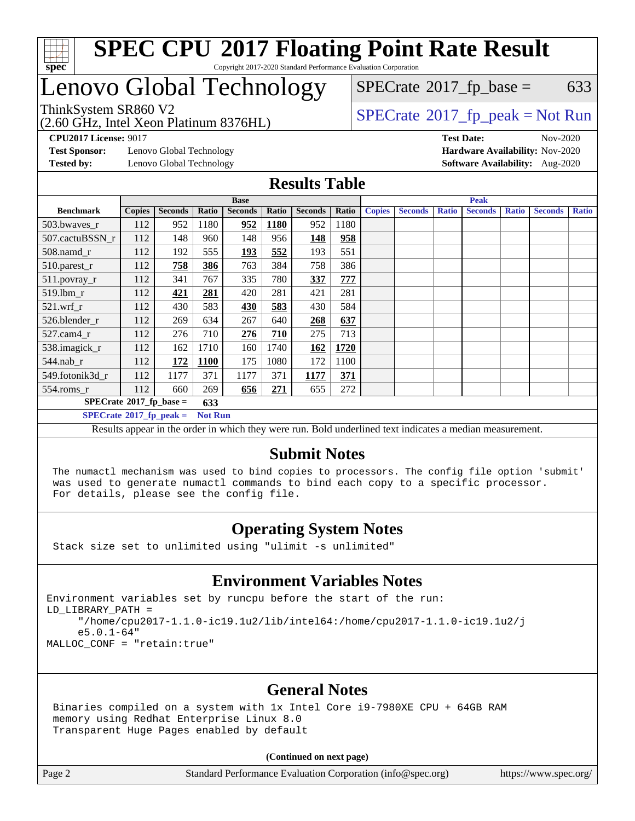

# Lenovo Global Technology

(2.60 GHz, Intel Xeon Platinum 8376HL)

 $SPECTate$ <sup>®</sup>[2017\\_fp\\_base =](http://www.spec.org/auto/cpu2017/Docs/result-fields.html#SPECrate2017fpbase) 633

### ThinkSystem SR860 V2 [SPECrate](http://www.spec.org/auto/cpu2017/Docs/result-fields.html#SPECrate2017fppeak)[2017\\_fp\\_peak = N](http://www.spec.org/auto/cpu2017/Docs/result-fields.html#SPECrate2017fppeak)ot Run

**[CPU2017 License:](http://www.spec.org/auto/cpu2017/Docs/result-fields.html#CPU2017License)** 9017 **[Test Date:](http://www.spec.org/auto/cpu2017/Docs/result-fields.html#TestDate)** Nov-2020

**[Test Sponsor:](http://www.spec.org/auto/cpu2017/Docs/result-fields.html#TestSponsor)** Lenovo Global Technology **[Hardware Availability:](http://www.spec.org/auto/cpu2017/Docs/result-fields.html#HardwareAvailability)** Nov-2020

**[Tested by:](http://www.spec.org/auto/cpu2017/Docs/result-fields.html#Testedby)** Lenovo Global Technology **[Software Availability:](http://www.spec.org/auto/cpu2017/Docs/result-fields.html#SoftwareAvailability)** Aug-2020

#### **[Results Table](http://www.spec.org/auto/cpu2017/Docs/result-fields.html#ResultsTable)**

|                                                    | <b>Base</b>   |                |       |                | <b>Peak</b> |                |       |               |                |              |                |              |                |              |
|----------------------------------------------------|---------------|----------------|-------|----------------|-------------|----------------|-------|---------------|----------------|--------------|----------------|--------------|----------------|--------------|
| <b>Benchmark</b>                                   | <b>Copies</b> | <b>Seconds</b> | Ratio | <b>Seconds</b> | Ratio       | <b>Seconds</b> | Ratio | <b>Copies</b> | <b>Seconds</b> | <b>Ratio</b> | <b>Seconds</b> | <b>Ratio</b> | <b>Seconds</b> | <b>Ratio</b> |
| 503.bwaves_r                                       | 112           | 952            | 1180  | 952            | <b>1180</b> | 952            | 1180  |               |                |              |                |              |                |              |
| 507.cactuBSSN r                                    | 112           | 148            | 960   | 148            | 956         | 148            | 958   |               |                |              |                |              |                |              |
| $508$ .namd_r                                      | 112           | 192            | 555   | <u>193</u>     | 552         | 193            | 551   |               |                |              |                |              |                |              |
| 510.parest_r                                       | 112           | 758            | 386   | 763            | 384         | 758            | 386   |               |                |              |                |              |                |              |
| 511.povray_r                                       | 112           | 341            | 767   | 335            | 780         | 337            | 777   |               |                |              |                |              |                |              |
| 519.lbm r                                          | 112           | 421            | 281   | 420            | 281         | 421            | 281   |               |                |              |                |              |                |              |
| $521$ .wrf r                                       | 112           | 430            | 583   | 430            | 583         | 430            | 584   |               |                |              |                |              |                |              |
| 526.blender r                                      | 112           | 269            | 634   | 267            | 640         | 268            | 637   |               |                |              |                |              |                |              |
| $527$ .cam $4r$                                    | 112           | 276            | 710   | 276            | 710         | 275            | 713   |               |                |              |                |              |                |              |
| 538.imagick_r                                      | 112           | 162            | 1710  | 160            | 1740        | 162            | 1720  |               |                |              |                |              |                |              |
| $544$ .nab_r                                       | 112           | 172            | 1100  | 175            | 1080        | 172            | 1100  |               |                |              |                |              |                |              |
| 549.fotonik3d r                                    | 112           | 1177           | 371   | 1177           | 371         | 1177           | 371   |               |                |              |                |              |                |              |
| $554$ .roms_r                                      | 112           | 660            | 269   | 656            | 271         | 655            | 272   |               |                |              |                |              |                |              |
| $SPECrate*2017_fp\_base =$<br>633                  |               |                |       |                |             |                |       |               |                |              |                |              |                |              |
| $SPECrate^{\circ}2017$ fp peak =<br><b>Not Run</b> |               |                |       |                |             |                |       |               |                |              |                |              |                |              |

Results appear in the [order in which they were run](http://www.spec.org/auto/cpu2017/Docs/result-fields.html#RunOrder). Bold underlined text [indicates a median measurement.](http://www.spec.org/auto/cpu2017/Docs/result-fields.html#Median)

#### **[Submit Notes](http://www.spec.org/auto/cpu2017/Docs/result-fields.html#SubmitNotes)**

 The numactl mechanism was used to bind copies to processors. The config file option 'submit' was used to generate numactl commands to bind each copy to a specific processor. For details, please see the config file.

### **[Operating System Notes](http://www.spec.org/auto/cpu2017/Docs/result-fields.html#OperatingSystemNotes)**

Stack size set to unlimited using "ulimit -s unlimited"

#### **[Environment Variables Notes](http://www.spec.org/auto/cpu2017/Docs/result-fields.html#EnvironmentVariablesNotes)**

Environment variables set by runcpu before the start of the run: LD\_LIBRARY\_PATH = "/home/cpu2017-1.1.0-ic19.1u2/lib/intel64:/home/cpu2017-1.1.0-ic19.1u2/j e5.0.1-64" MALLOC\_CONF = "retain:true"

#### **[General Notes](http://www.spec.org/auto/cpu2017/Docs/result-fields.html#GeneralNotes)**

 Binaries compiled on a system with 1x Intel Core i9-7980XE CPU + 64GB RAM memory using Redhat Enterprise Linux 8.0 Transparent Huge Pages enabled by default

#### **(Continued on next page)**

Page 2 Standard Performance Evaluation Corporation [\(info@spec.org\)](mailto:info@spec.org) <https://www.spec.org/>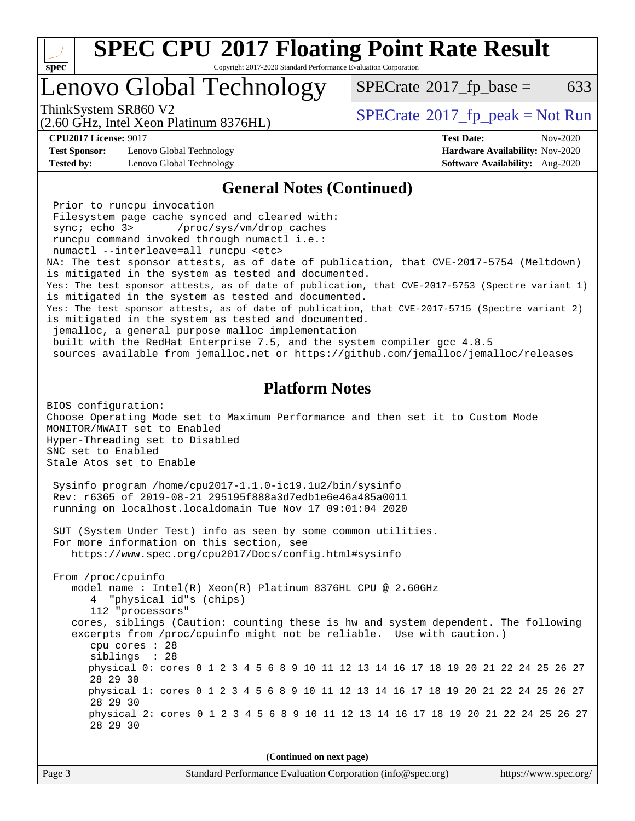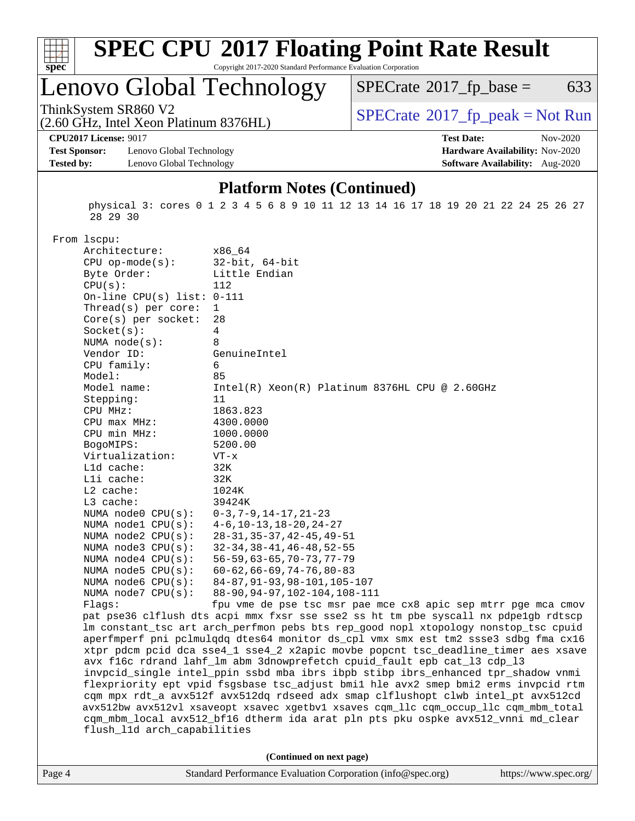

# **[SPEC CPU](http://www.spec.org/auto/cpu2017/Docs/result-fields.html#SPECCPU2017FloatingPointRateResult)[2017 Floating Point Rate Result](http://www.spec.org/auto/cpu2017/Docs/result-fields.html#SPECCPU2017FloatingPointRateResult)**

Copyright 2017-2020 Standard Performance Evaluation Corporation

# Lenovo Global Technology

 $SPECTate@2017_fp\_base = 633$ 

(2.60 GHz, Intel Xeon Platinum 8376HL)

ThinkSystem SR860 V2<br>  $(2.60 \text{ GHz, Intel Yoon Plutium } 8376 \text{H})$  [SPECrate](http://www.spec.org/auto/cpu2017/Docs/result-fields.html#SPECrate2017fppeak)®[2017\\_fp\\_peak = N](http://www.spec.org/auto/cpu2017/Docs/result-fields.html#SPECrate2017fppeak)ot Run

**[CPU2017 License:](http://www.spec.org/auto/cpu2017/Docs/result-fields.html#CPU2017License)** 9017 **[Test Date:](http://www.spec.org/auto/cpu2017/Docs/result-fields.html#TestDate)** Nov-2020

**[Test Sponsor:](http://www.spec.org/auto/cpu2017/Docs/result-fields.html#TestSponsor)** Lenovo Global Technology **[Hardware Availability:](http://www.spec.org/auto/cpu2017/Docs/result-fields.html#HardwareAvailability)** Nov-2020 **[Tested by:](http://www.spec.org/auto/cpu2017/Docs/result-fields.html#Testedby)** Lenovo Global Technology **[Software Availability:](http://www.spec.org/auto/cpu2017/Docs/result-fields.html#SoftwareAvailability)** Aug-2020

#### **[Platform Notes \(Continued\)](http://www.spec.org/auto/cpu2017/Docs/result-fields.html#PlatformNotes)**

 physical 3: cores 0 1 2 3 4 5 6 8 9 10 11 12 13 14 16 17 18 19 20 21 22 24 25 26 27 28 29 30

From lscpu:

| Architecture:                | x86_64                                                                               |
|------------------------------|--------------------------------------------------------------------------------------|
| $CPU$ op-mode $(s)$ :        | $32$ -bit, $64$ -bit                                                                 |
| Byte Order:                  | Little Endian                                                                        |
| CPU(s):                      | 112                                                                                  |
| On-line CPU(s) list: $0-111$ |                                                                                      |
| Thread(s) per core:          | $\mathbf{1}$                                                                         |
| Core(s) per socket:          | 28                                                                                   |
| Socket(s):                   | 4                                                                                    |
| NUMA node(s):                | 8                                                                                    |
| Vendor ID:                   | GenuineIntel                                                                         |
| CPU family:                  | 6                                                                                    |
| Model:                       | 85                                                                                   |
| Model name:                  | $Intel(R)$ Xeon $(R)$ Platinum 8376HL CPU @ 2.60GHz                                  |
| Stepping:                    | 11                                                                                   |
| CPU MHz:                     | 1863.823                                                                             |
| CPU max MHz:                 | 4300.0000                                                                            |
| CPU min MHz:                 | 1000.0000                                                                            |
| BogoMIPS:                    | 5200.00                                                                              |
| Virtualization:              | $VT - x$                                                                             |
| L1d cache:                   | 32K                                                                                  |
| Lli cache:                   | 32K                                                                                  |
| $L2$ cache:                  | 1024K                                                                                |
| L3 cache:                    | 39424K                                                                               |
| NUMA node0 CPU(s):           | $0-3, 7-9, 14-17, 21-23$                                                             |
| NUMA nodel CPU(s):           | $4-6$ , $10-13$ , $18-20$ , $24-27$                                                  |
| NUMA node2 CPU(s):           | $28 - 31, 35 - 37, 42 - 45, 49 - 51$                                                 |
| NUMA node3 CPU(s):           | $32 - 34, 38 - 41, 46 - 48, 52 - 55$                                                 |
| NUMA $node4$ $CPU(s)$ :      | $56 - 59, 63 - 65, 70 - 73, 77 - 79$                                                 |
| NUMA $node5$ CPU $(s)$ :     | $60 - 62, 66 - 69, 74 - 76, 80 - 83$                                                 |
| NUMA node6 CPU(s):           | 84-87, 91-93, 98-101, 105-107                                                        |
| NUMA $node7$ CPU $(s)$ :     | 88-90, 94-97, 102-104, 108-111                                                       |
| Flaqs:                       | fpu vme de pse tsc msr pae mce cx8 apic sep mtrr pge mca cmov                        |
|                              | pat pse36 clflush dts acpi mmx fxsr sse sse2 ss ht tm pbe syscall nx pdpelgb rdtscp  |
|                              | lm constant_tsc art arch_perfmon pebs bts rep_good nopl xtopology nonstop_tsc cpuid  |
|                              | aperfmperf pni pclmulqdq dtes64 monitor ds_cpl vmx smx est tm2 ssse3 sdbg fma cx16   |
|                              | xtpr pdcm pcid dca sse4_1 sse4_2 x2apic movbe popcnt tsc_deadline_timer aes xsave    |
|                              | avx f16c rdrand lahf_lm abm 3dnowprefetch cpuid_fault epb cat_13 cdp_13              |
|                              | invpcid_single intel_ppin ssbd mba ibrs ibpb stibp ibrs_enhanced tpr_shadow vnmi     |
|                              | flexpriority ept vpid fsgsbase tsc_adjust bmil hle avx2 smep bmi2 erms invpcid rtm   |
|                              | cqm mpx rdt_a avx512f avx512dq rdseed adx smap clflushopt clwb intel_pt avx512cd     |
|                              | avx512bw avx512vl xsaveopt xsavec xgetbvl xsaves cqm_llc cqm_occup_llc cqm_mbm_total |
|                              | cqm_mbm_local avx512_bf16 dtherm ida arat pln pts pku ospke avx512_vnni md_clear     |
| flush_11d arch_capabilities  |                                                                                      |
|                              |                                                                                      |
|                              | (Continued on next page)                                                             |
|                              |                                                                                      |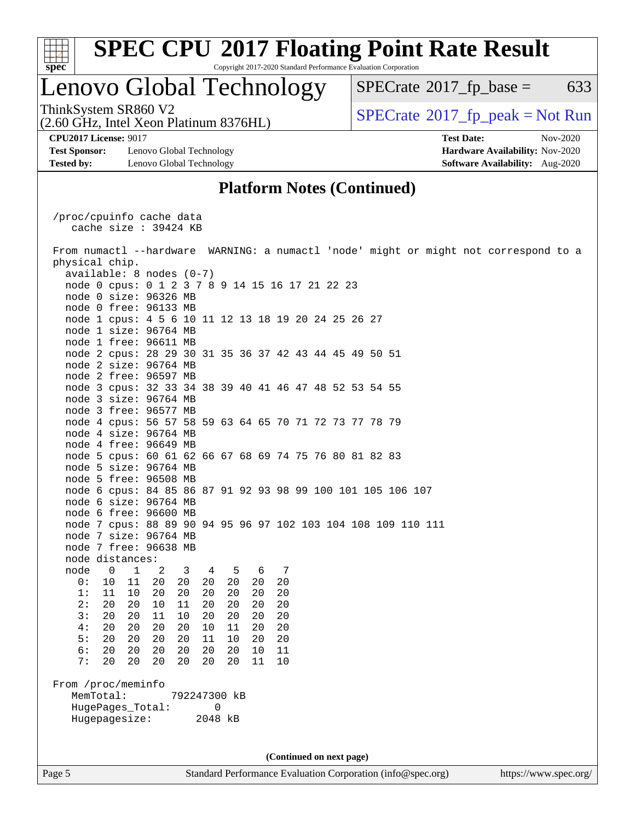

### Lenovo Global Technology

 $SPECTate$ <sup>®</sup>[2017\\_fp\\_base =](http://www.spec.org/auto/cpu2017/Docs/result-fields.html#SPECrate2017fpbase) 633

(2.60 GHz, Intel Xeon Platinum 8376HL) ThinkSystem SR860 V2<br>(2.60 GHz, Intel Xeon Platinum 8376HI)  $\vert$  [SPECrate](http://www.spec.org/auto/cpu2017/Docs/result-fields.html#SPECrate2017fppeak)®[2017\\_fp\\_peak = N](http://www.spec.org/auto/cpu2017/Docs/result-fields.html#SPECrate2017fppeak)ot Run

**[Test Sponsor:](http://www.spec.org/auto/cpu2017/Docs/result-fields.html#TestSponsor)** Lenovo Global Technology **[Hardware Availability:](http://www.spec.org/auto/cpu2017/Docs/result-fields.html#HardwareAvailability)** Nov-2020 **[Tested by:](http://www.spec.org/auto/cpu2017/Docs/result-fields.html#Testedby)** Lenovo Global Technology **[Software Availability:](http://www.spec.org/auto/cpu2017/Docs/result-fields.html#SoftwareAvailability)** Aug-2020

**[CPU2017 License:](http://www.spec.org/auto/cpu2017/Docs/result-fields.html#CPU2017License)** 9017 **[Test Date:](http://www.spec.org/auto/cpu2017/Docs/result-fields.html#TestDate)** Nov-2020

### **[Platform Notes \(Continued\)](http://www.spec.org/auto/cpu2017/Docs/result-fields.html#PlatformNotes)**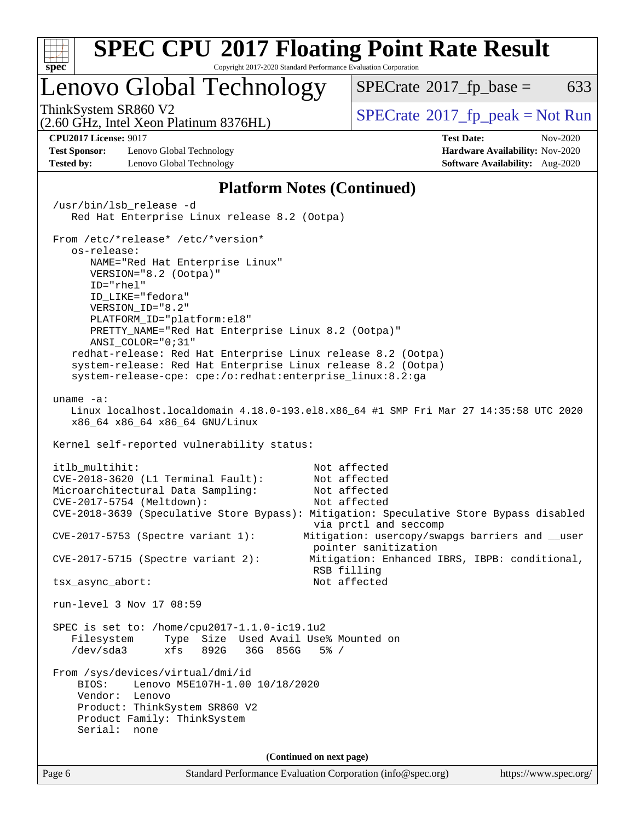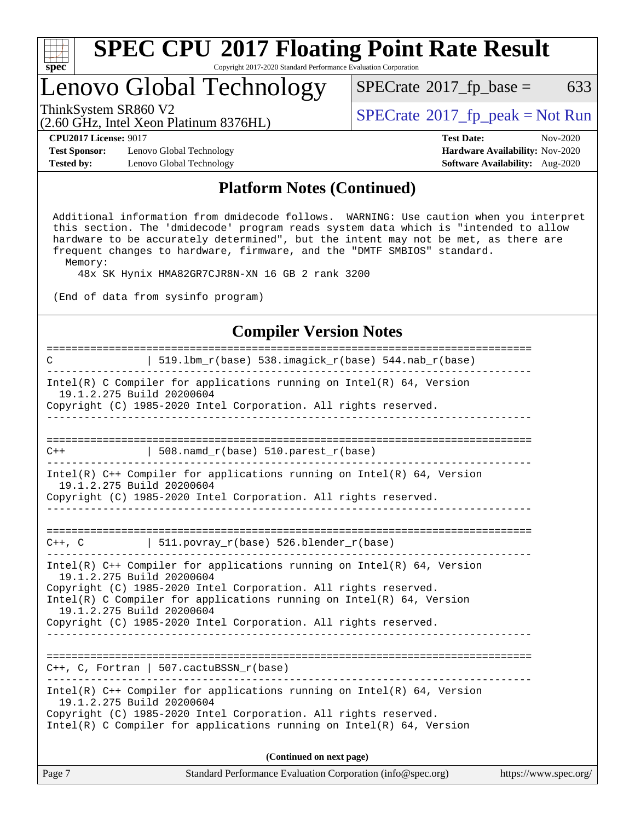

## Lenovo Global Technology

(2.60 GHz, Intel Xeon Platinum 8376HL)

ThinkSystem SR860 V2<br>  $\begin{array}{c} \text{SPECTI}_{\text{S}} \text{SFR} = \text{Not Run} \\ \text{SPECTI}_{\text{S}} \text{SFR} = \text{Not Run} \end{array}$ 

 $SPECTate@2017_fp\_base = 633$ 

**[Test Sponsor:](http://www.spec.org/auto/cpu2017/Docs/result-fields.html#TestSponsor)** Lenovo Global Technology **[Hardware Availability:](http://www.spec.org/auto/cpu2017/Docs/result-fields.html#HardwareAvailability)** Nov-2020 **[Tested by:](http://www.spec.org/auto/cpu2017/Docs/result-fields.html#Testedby)** Lenovo Global Technology **[Software Availability:](http://www.spec.org/auto/cpu2017/Docs/result-fields.html#SoftwareAvailability)** Aug-2020

**[CPU2017 License:](http://www.spec.org/auto/cpu2017/Docs/result-fields.html#CPU2017License)** 9017 **[Test Date:](http://www.spec.org/auto/cpu2017/Docs/result-fields.html#TestDate)** Nov-2020

#### **[Platform Notes \(Continued\)](http://www.spec.org/auto/cpu2017/Docs/result-fields.html#PlatformNotes)**

 Additional information from dmidecode follows. WARNING: Use caution when you interpret this section. The 'dmidecode' program reads system data which is "intended to allow hardware to be accurately determined", but the intent may not be met, as there are frequent changes to hardware, firmware, and the "DMTF SMBIOS" standard. Memory:

48x SK Hynix HMA82GR7CJR8N-XN 16 GB 2 rank 3200

(End of data from sysinfo program)

#### **[Compiler Version Notes](http://www.spec.org/auto/cpu2017/Docs/result-fields.html#CompilerVersionNotes)**

============================================================================== C | 519.lbm\_r(base) 538.imagick\_r(base) 544.nab\_r(base) ------------------------------------------------------------------------------ Intel(R) C Compiler for applications running on  $Intel(R) 64$ , Version 19.1.2.275 Build 20200604 Copyright (C) 1985-2020 Intel Corporation. All rights reserved. ------------------------------------------------------------------------------ ==============================================================================  $C++$  | 508.namd\_r(base) 510.parest\_r(base) ------------------------------------------------------------------------------ Intel(R) C++ Compiler for applications running on Intel(R) 64, Version 19.1.2.275 Build 20200604 Copyright (C) 1985-2020 Intel Corporation. All rights reserved. ------------------------------------------------------------------------------ ==============================================================================  $C++$ ,  $C$  | 511.povray\_r(base) 526.blender\_r(base) ------------------------------------------------------------------------------ Intel(R) C++ Compiler for applications running on Intel(R) 64, Version 19.1.2.275 Build 20200604 Copyright (C) 1985-2020 Intel Corporation. All rights reserved. Intel(R) C Compiler for applications running on  $Intel(R) 64$ , Version 19.1.2.275 Build 20200604 Copyright (C) 1985-2020 Intel Corporation. All rights reserved. ------------------------------------------------------------------------------ ============================================================================== C++, C, Fortran | 507.cactuBSSN\_r(base) ------------------------------------------------------------------------------ Intel(R) C++ Compiler for applications running on Intel(R) 64, Version 19.1.2.275 Build 20200604 Copyright (C) 1985-2020 Intel Corporation. All rights reserved. Intel(R) C Compiler for applications running on Intel(R) 64, Version **(Continued on next page)**

|  | Page 7 | Standard Performance Evaluation Corporation (info@spec.org) | https://www.spec.org/ |
|--|--------|-------------------------------------------------------------|-----------------------|
|--|--------|-------------------------------------------------------------|-----------------------|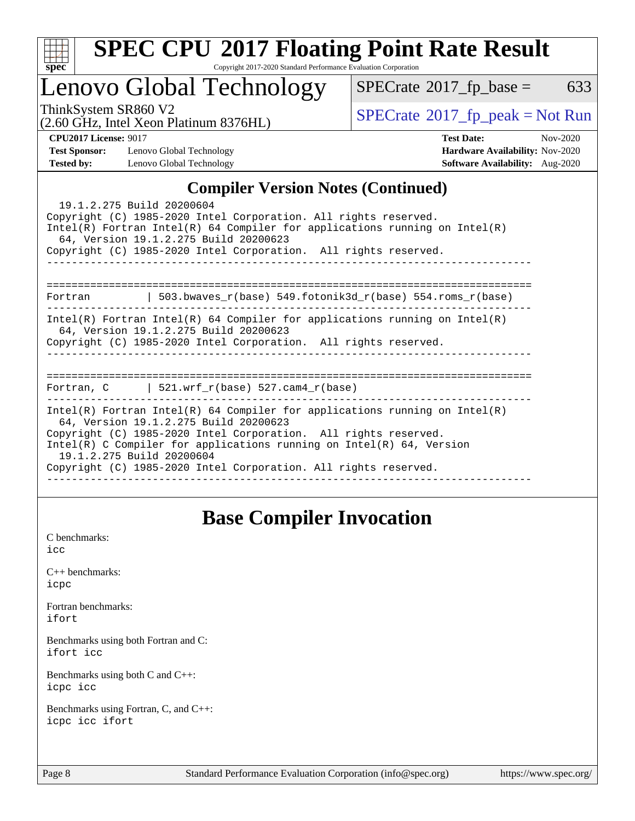

# **[SPEC CPU](http://www.spec.org/auto/cpu2017/Docs/result-fields.html#SPECCPU2017FloatingPointRateResult)[2017 Floating Point Rate Result](http://www.spec.org/auto/cpu2017/Docs/result-fields.html#SPECCPU2017FloatingPointRateResult)**

Copyright 2017-2020 Standard Performance Evaluation Corporation

# Lenovo Global Technology

 $SPECTate@2017_fp\_base = 633$ 

(2.60 GHz, Intel Xeon Platinum 8376HL)

ThinkSystem SR860 V2<br>  $\begin{array}{c}\n\text{SPECrate} \textcirc 2017\_fp\_peak = Not Run \\
\text{SPECrate} \textcirc 2017\_fp\_peak = Not Run\n\end{array}$  $\begin{array}{c}\n\text{SPECrate} \textcirc 2017\_fp\_peak = Not Run \\
\text{SPECrate} \textcirc 2017\_fp\_peak = Not Run\n\end{array}$  $\begin{array}{c}\n\text{SPECrate} \textcirc 2017\_fp\_peak = Not Run \\
\text{SPECrate} \textcirc 2017\_fp\_peak = Not Run\n\end{array}$ 

**[Test Sponsor:](http://www.spec.org/auto/cpu2017/Docs/result-fields.html#TestSponsor)** Lenovo Global Technology **[Hardware Availability:](http://www.spec.org/auto/cpu2017/Docs/result-fields.html#HardwareAvailability)** Nov-2020 **[Tested by:](http://www.spec.org/auto/cpu2017/Docs/result-fields.html#Testedby)** Lenovo Global Technology **[Software Availability:](http://www.spec.org/auto/cpu2017/Docs/result-fields.html#SoftwareAvailability)** Aug-2020

**[CPU2017 License:](http://www.spec.org/auto/cpu2017/Docs/result-fields.html#CPU2017License)** 9017 **[Test Date:](http://www.spec.org/auto/cpu2017/Docs/result-fields.html#TestDate)** Nov-2020

### **[Compiler Version Notes \(Continued\)](http://www.spec.org/auto/cpu2017/Docs/result-fields.html#CompilerVersionNotes)**

| 19.1.2.275 Build 20200604<br>Copyright (C) 1985-2020 Intel Corporation. All rights reserved.<br>$Intel(R)$ Fortran Intel(R) 64 Compiler for applications running on Intel(R)<br>64, Version 19.1.2.275 Build 20200623<br>Copyright (C) 1985-2020 Intel Corporation. All rights reserved.                                                                          |
|-------------------------------------------------------------------------------------------------------------------------------------------------------------------------------------------------------------------------------------------------------------------------------------------------------------------------------------------------------------------|
|                                                                                                                                                                                                                                                                                                                                                                   |
| 503.bwaves $r(base)$ 549.fotonik3d $r(base)$ 554.roms $r(base)$<br>Fortran                                                                                                                                                                                                                                                                                        |
| $Intel(R)$ Fortran Intel(R) 64 Compiler for applications running on Intel(R)<br>64, Version 19.1.2.275 Build 20200623<br>Copyright (C) 1985-2020 Intel Corporation. All rights reserved.                                                                                                                                                                          |
|                                                                                                                                                                                                                                                                                                                                                                   |
| Fortran, C $\vert$ 521.wrf_r(base) 527.cam4_r(base)                                                                                                                                                                                                                                                                                                               |
| Intel(R) Fortran Intel(R) 64 Compiler for applications running on Intel(R)<br>64, Version 19.1.2.275 Build 20200623<br>Copyright (C) 1985-2020 Intel Corporation. All rights reserved.<br>Intel(R) C Compiler for applications running on Intel(R) $64$ , Version<br>19.1.2.275 Build 20200604<br>Copyright (C) 1985-2020 Intel Corporation. All rights reserved. |

### **[Base Compiler Invocation](http://www.spec.org/auto/cpu2017/Docs/result-fields.html#BaseCompilerInvocation)**

[C benchmarks](http://www.spec.org/auto/cpu2017/Docs/result-fields.html#Cbenchmarks): [icc](http://www.spec.org/cpu2017/results/res2020q4/cpu2017-20201123-24479.flags.html#user_CCbase_intel_icc_66fc1ee009f7361af1fbd72ca7dcefbb700085f36577c54f309893dd4ec40d12360134090235512931783d35fd58c0460139e722d5067c5574d8eaf2b3e37e92)

[C++ benchmarks:](http://www.spec.org/auto/cpu2017/Docs/result-fields.html#CXXbenchmarks) [icpc](http://www.spec.org/cpu2017/results/res2020q4/cpu2017-20201123-24479.flags.html#user_CXXbase_intel_icpc_c510b6838c7f56d33e37e94d029a35b4a7bccf4766a728ee175e80a419847e808290a9b78be685c44ab727ea267ec2f070ec5dc83b407c0218cded6866a35d07)

[Fortran benchmarks](http://www.spec.org/auto/cpu2017/Docs/result-fields.html#Fortranbenchmarks): [ifort](http://www.spec.org/cpu2017/results/res2020q4/cpu2017-20201123-24479.flags.html#user_FCbase_intel_ifort_8111460550e3ca792625aed983ce982f94888b8b503583aa7ba2b8303487b4d8a21a13e7191a45c5fd58ff318f48f9492884d4413fa793fd88dd292cad7027ca)

[Benchmarks using both Fortran and C](http://www.spec.org/auto/cpu2017/Docs/result-fields.html#BenchmarksusingbothFortranandC): [ifort](http://www.spec.org/cpu2017/results/res2020q4/cpu2017-20201123-24479.flags.html#user_CC_FCbase_intel_ifort_8111460550e3ca792625aed983ce982f94888b8b503583aa7ba2b8303487b4d8a21a13e7191a45c5fd58ff318f48f9492884d4413fa793fd88dd292cad7027ca) [icc](http://www.spec.org/cpu2017/results/res2020q4/cpu2017-20201123-24479.flags.html#user_CC_FCbase_intel_icc_66fc1ee009f7361af1fbd72ca7dcefbb700085f36577c54f309893dd4ec40d12360134090235512931783d35fd58c0460139e722d5067c5574d8eaf2b3e37e92)

[Benchmarks using both C and C++](http://www.spec.org/auto/cpu2017/Docs/result-fields.html#BenchmarksusingbothCandCXX): [icpc](http://www.spec.org/cpu2017/results/res2020q4/cpu2017-20201123-24479.flags.html#user_CC_CXXbase_intel_icpc_c510b6838c7f56d33e37e94d029a35b4a7bccf4766a728ee175e80a419847e808290a9b78be685c44ab727ea267ec2f070ec5dc83b407c0218cded6866a35d07) [icc](http://www.spec.org/cpu2017/results/res2020q4/cpu2017-20201123-24479.flags.html#user_CC_CXXbase_intel_icc_66fc1ee009f7361af1fbd72ca7dcefbb700085f36577c54f309893dd4ec40d12360134090235512931783d35fd58c0460139e722d5067c5574d8eaf2b3e37e92)

[Benchmarks using Fortran, C, and C++:](http://www.spec.org/auto/cpu2017/Docs/result-fields.html#BenchmarksusingFortranCandCXX) [icpc](http://www.spec.org/cpu2017/results/res2020q4/cpu2017-20201123-24479.flags.html#user_CC_CXX_FCbase_intel_icpc_c510b6838c7f56d33e37e94d029a35b4a7bccf4766a728ee175e80a419847e808290a9b78be685c44ab727ea267ec2f070ec5dc83b407c0218cded6866a35d07) [icc](http://www.spec.org/cpu2017/results/res2020q4/cpu2017-20201123-24479.flags.html#user_CC_CXX_FCbase_intel_icc_66fc1ee009f7361af1fbd72ca7dcefbb700085f36577c54f309893dd4ec40d12360134090235512931783d35fd58c0460139e722d5067c5574d8eaf2b3e37e92) [ifort](http://www.spec.org/cpu2017/results/res2020q4/cpu2017-20201123-24479.flags.html#user_CC_CXX_FCbase_intel_ifort_8111460550e3ca792625aed983ce982f94888b8b503583aa7ba2b8303487b4d8a21a13e7191a45c5fd58ff318f48f9492884d4413fa793fd88dd292cad7027ca)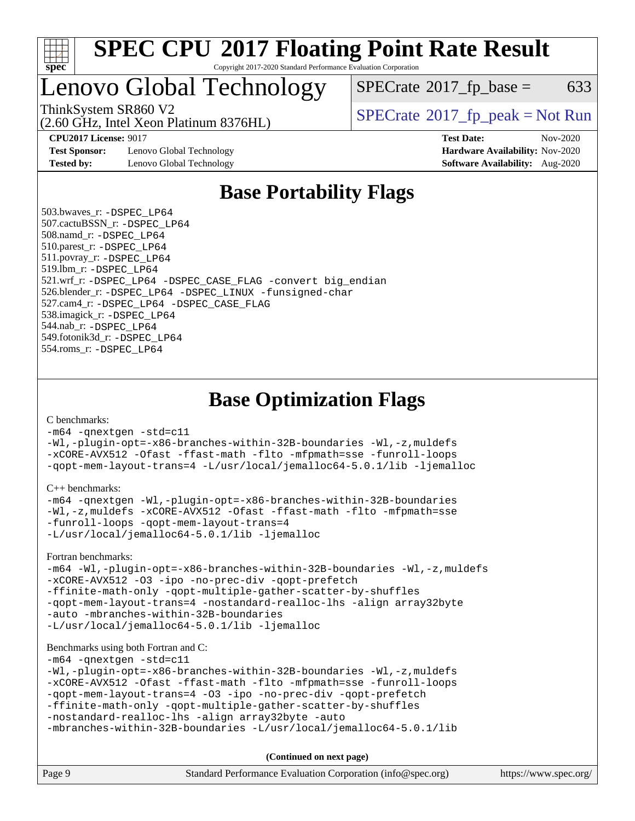

## Lenovo Global Technology

 $SPECTate$ <sup>®</sup>[2017\\_fp\\_base =](http://www.spec.org/auto/cpu2017/Docs/result-fields.html#SPECrate2017fpbase) 633

(2.60 GHz, Intel Xeon Platinum 8376HL)

ThinkSystem SR860 V2<br>  $\begin{array}{c} \text{SPECrate} \textcirc 2017 \text{ fp peak} = \text{Not Run} \\ \text{SPECrate} \textcirc 2017 \text{ fp peak} = \text{Not Run} \end{array}$  $\begin{array}{c} \text{SPECrate} \textcirc 2017 \text{ fp peak} = \text{Not Run} \\ \text{SPECrate} \textcirc 2017 \text{ fp peak} = \text{Not Run} \end{array}$  $\begin{array}{c} \text{SPECrate} \textcirc 2017 \text{ fp peak} = \text{Not Run} \\ \text{SPECrate} \textcirc 2017 \text{ fp peak} = \text{Not Run} \end{array}$ 

**[Test Sponsor:](http://www.spec.org/auto/cpu2017/Docs/result-fields.html#TestSponsor)** Lenovo Global Technology **[Hardware Availability:](http://www.spec.org/auto/cpu2017/Docs/result-fields.html#HardwareAvailability)** Nov-2020 **[Tested by:](http://www.spec.org/auto/cpu2017/Docs/result-fields.html#Testedby)** Lenovo Global Technology **[Software Availability:](http://www.spec.org/auto/cpu2017/Docs/result-fields.html#SoftwareAvailability)** Aug-2020

**[CPU2017 License:](http://www.spec.org/auto/cpu2017/Docs/result-fields.html#CPU2017License)** 9017 **[Test Date:](http://www.spec.org/auto/cpu2017/Docs/result-fields.html#TestDate)** Nov-2020

## **[Base Portability Flags](http://www.spec.org/auto/cpu2017/Docs/result-fields.html#BasePortabilityFlags)**

 503.bwaves\_r: [-DSPEC\\_LP64](http://www.spec.org/cpu2017/results/res2020q4/cpu2017-20201123-24479.flags.html#suite_basePORTABILITY503_bwaves_r_DSPEC_LP64) 507.cactuBSSN\_r: [-DSPEC\\_LP64](http://www.spec.org/cpu2017/results/res2020q4/cpu2017-20201123-24479.flags.html#suite_basePORTABILITY507_cactuBSSN_r_DSPEC_LP64) 508.namd\_r: [-DSPEC\\_LP64](http://www.spec.org/cpu2017/results/res2020q4/cpu2017-20201123-24479.flags.html#suite_basePORTABILITY508_namd_r_DSPEC_LP64) 510.parest\_r: [-DSPEC\\_LP64](http://www.spec.org/cpu2017/results/res2020q4/cpu2017-20201123-24479.flags.html#suite_basePORTABILITY510_parest_r_DSPEC_LP64) 511.povray\_r: [-DSPEC\\_LP64](http://www.spec.org/cpu2017/results/res2020q4/cpu2017-20201123-24479.flags.html#suite_basePORTABILITY511_povray_r_DSPEC_LP64) 519.lbm\_r: [-DSPEC\\_LP64](http://www.spec.org/cpu2017/results/res2020q4/cpu2017-20201123-24479.flags.html#suite_basePORTABILITY519_lbm_r_DSPEC_LP64) 521.wrf\_r: [-DSPEC\\_LP64](http://www.spec.org/cpu2017/results/res2020q4/cpu2017-20201123-24479.flags.html#suite_basePORTABILITY521_wrf_r_DSPEC_LP64) [-DSPEC\\_CASE\\_FLAG](http://www.spec.org/cpu2017/results/res2020q4/cpu2017-20201123-24479.flags.html#b521.wrf_r_baseCPORTABILITY_DSPEC_CASE_FLAG) [-convert big\\_endian](http://www.spec.org/cpu2017/results/res2020q4/cpu2017-20201123-24479.flags.html#user_baseFPORTABILITY521_wrf_r_convert_big_endian_c3194028bc08c63ac5d04de18c48ce6d347e4e562e8892b8bdbdc0214820426deb8554edfa529a3fb25a586e65a3d812c835984020483e7e73212c4d31a38223) 526.blender\_r: [-DSPEC\\_LP64](http://www.spec.org/cpu2017/results/res2020q4/cpu2017-20201123-24479.flags.html#suite_basePORTABILITY526_blender_r_DSPEC_LP64) [-DSPEC\\_LINUX](http://www.spec.org/cpu2017/results/res2020q4/cpu2017-20201123-24479.flags.html#b526.blender_r_baseCPORTABILITY_DSPEC_LINUX) [-funsigned-char](http://www.spec.org/cpu2017/results/res2020q4/cpu2017-20201123-24479.flags.html#user_baseCPORTABILITY526_blender_r_force_uchar_40c60f00ab013830e2dd6774aeded3ff59883ba5a1fc5fc14077f794d777847726e2a5858cbc7672e36e1b067e7e5c1d9a74f7176df07886a243d7cc18edfe67) 527.cam4\_r: [-DSPEC\\_LP64](http://www.spec.org/cpu2017/results/res2020q4/cpu2017-20201123-24479.flags.html#suite_basePORTABILITY527_cam4_r_DSPEC_LP64) [-DSPEC\\_CASE\\_FLAG](http://www.spec.org/cpu2017/results/res2020q4/cpu2017-20201123-24479.flags.html#b527.cam4_r_baseCPORTABILITY_DSPEC_CASE_FLAG) 538.imagick\_r: [-DSPEC\\_LP64](http://www.spec.org/cpu2017/results/res2020q4/cpu2017-20201123-24479.flags.html#suite_basePORTABILITY538_imagick_r_DSPEC_LP64) 544.nab\_r: [-DSPEC\\_LP64](http://www.spec.org/cpu2017/results/res2020q4/cpu2017-20201123-24479.flags.html#suite_basePORTABILITY544_nab_r_DSPEC_LP64) 549.fotonik3d\_r: [-DSPEC\\_LP64](http://www.spec.org/cpu2017/results/res2020q4/cpu2017-20201123-24479.flags.html#suite_basePORTABILITY549_fotonik3d_r_DSPEC_LP64) 554.roms\_r: [-DSPEC\\_LP64](http://www.spec.org/cpu2017/results/res2020q4/cpu2017-20201123-24479.flags.html#suite_basePORTABILITY554_roms_r_DSPEC_LP64)

**[Base Optimization Flags](http://www.spec.org/auto/cpu2017/Docs/result-fields.html#BaseOptimizationFlags)**

[C benchmarks](http://www.spec.org/auto/cpu2017/Docs/result-fields.html#Cbenchmarks):

[-m64](http://www.spec.org/cpu2017/results/res2020q4/cpu2017-20201123-24479.flags.html#user_CCbase_m64-icc) [-qnextgen](http://www.spec.org/cpu2017/results/res2020q4/cpu2017-20201123-24479.flags.html#user_CCbase_f-qnextgen) [-std=c11](http://www.spec.org/cpu2017/results/res2020q4/cpu2017-20201123-24479.flags.html#user_CCbase_std-icc-std_0e1c27790398a4642dfca32ffe6c27b5796f9c2d2676156f2e42c9c44eaad0c049b1cdb667a270c34d979996257aeb8fc440bfb01818dbc9357bd9d174cb8524) [-Wl,-plugin-opt=-x86-branches-within-32B-boundaries](http://www.spec.org/cpu2017/results/res2020q4/cpu2017-20201123-24479.flags.html#user_CCbase_f-x86-branches-within-32B-boundaries_0098b4e4317ae60947b7b728078a624952a08ac37a3c797dfb4ffeb399e0c61a9dd0f2f44ce917e9361fb9076ccb15e7824594512dd315205382d84209e912f3) [-Wl,-z,muldefs](http://www.spec.org/cpu2017/results/res2020q4/cpu2017-20201123-24479.flags.html#user_CCbase_link_force_multiple1_b4cbdb97b34bdee9ceefcfe54f4c8ea74255f0b02a4b23e853cdb0e18eb4525ac79b5a88067c842dd0ee6996c24547a27a4b99331201badda8798ef8a743f577) [-xCORE-AVX512](http://www.spec.org/cpu2017/results/res2020q4/cpu2017-20201123-24479.flags.html#user_CCbase_f-xCORE-AVX512) [-Ofast](http://www.spec.org/cpu2017/results/res2020q4/cpu2017-20201123-24479.flags.html#user_CCbase_f-Ofast) [-ffast-math](http://www.spec.org/cpu2017/results/res2020q4/cpu2017-20201123-24479.flags.html#user_CCbase_f-ffast-math) [-flto](http://www.spec.org/cpu2017/results/res2020q4/cpu2017-20201123-24479.flags.html#user_CCbase_f-flto) [-mfpmath=sse](http://www.spec.org/cpu2017/results/res2020q4/cpu2017-20201123-24479.flags.html#user_CCbase_f-mfpmath_70eb8fac26bde974f8ab713bc9086c5621c0b8d2f6c86f38af0bd7062540daf19db5f3a066d8c6684be05d84c9b6322eb3b5be6619d967835195b93d6c02afa1) [-funroll-loops](http://www.spec.org/cpu2017/results/res2020q4/cpu2017-20201123-24479.flags.html#user_CCbase_f-funroll-loops) [-qopt-mem-layout-trans=4](http://www.spec.org/cpu2017/results/res2020q4/cpu2017-20201123-24479.flags.html#user_CCbase_f-qopt-mem-layout-trans_fa39e755916c150a61361b7846f310bcdf6f04e385ef281cadf3647acec3f0ae266d1a1d22d972a7087a248fd4e6ca390a3634700869573d231a252c784941a8) [-L/usr/local/jemalloc64-5.0.1/lib](http://www.spec.org/cpu2017/results/res2020q4/cpu2017-20201123-24479.flags.html#user_CCbase_jemalloc_link_path64_1_cc289568b1a6c0fd3b62c91b824c27fcb5af5e8098e6ad028160d21144ef1b8aef3170d2acf0bee98a8da324cfe4f67d0a3d0c4cc4673d993d694dc2a0df248b) [-ljemalloc](http://www.spec.org/cpu2017/results/res2020q4/cpu2017-20201123-24479.flags.html#user_CCbase_jemalloc_link_lib_d1249b907c500fa1c0672f44f562e3d0f79738ae9e3c4a9c376d49f265a04b9c99b167ecedbf6711b3085be911c67ff61f150a17b3472be731631ba4d0471706)

[C++ benchmarks:](http://www.spec.org/auto/cpu2017/Docs/result-fields.html#CXXbenchmarks)

```
-m64 -qnextgen -Wl,-plugin-opt=-x86-branches-within-32B-boundaries
-Wl,-z,muldefs -xCORE-AVX512 -Ofast -ffast-math -flto -mfpmath=sse
-funroll-loops -qopt-mem-layout-trans=4
-L/usr/local/jemalloc64-5.0.1/lib -ljemalloc
```
[Fortran benchmarks](http://www.spec.org/auto/cpu2017/Docs/result-fields.html#Fortranbenchmarks):

[-m64](http://www.spec.org/cpu2017/results/res2020q4/cpu2017-20201123-24479.flags.html#user_FCbase_m64-icc) [-Wl,-plugin-opt=-x86-branches-within-32B-boundaries](http://www.spec.org/cpu2017/results/res2020q4/cpu2017-20201123-24479.flags.html#user_FCbase_f-x86-branches-within-32B-boundaries_0098b4e4317ae60947b7b728078a624952a08ac37a3c797dfb4ffeb399e0c61a9dd0f2f44ce917e9361fb9076ccb15e7824594512dd315205382d84209e912f3) [-Wl,-z,muldefs](http://www.spec.org/cpu2017/results/res2020q4/cpu2017-20201123-24479.flags.html#user_FCbase_link_force_multiple1_b4cbdb97b34bdee9ceefcfe54f4c8ea74255f0b02a4b23e853cdb0e18eb4525ac79b5a88067c842dd0ee6996c24547a27a4b99331201badda8798ef8a743f577) [-xCORE-AVX512](http://www.spec.org/cpu2017/results/res2020q4/cpu2017-20201123-24479.flags.html#user_FCbase_f-xCORE-AVX512) [-O3](http://www.spec.org/cpu2017/results/res2020q4/cpu2017-20201123-24479.flags.html#user_FCbase_f-O3) [-ipo](http://www.spec.org/cpu2017/results/res2020q4/cpu2017-20201123-24479.flags.html#user_FCbase_f-ipo) [-no-prec-div](http://www.spec.org/cpu2017/results/res2020q4/cpu2017-20201123-24479.flags.html#user_FCbase_f-no-prec-div) [-qopt-prefetch](http://www.spec.org/cpu2017/results/res2020q4/cpu2017-20201123-24479.flags.html#user_FCbase_f-qopt-prefetch) [-ffinite-math-only](http://www.spec.org/cpu2017/results/res2020q4/cpu2017-20201123-24479.flags.html#user_FCbase_f_finite_math_only_cb91587bd2077682c4b38af759c288ed7c732db004271a9512da14a4f8007909a5f1427ecbf1a0fb78ff2a814402c6114ac565ca162485bbcae155b5e4258871) [-qopt-multiple-gather-scatter-by-shuffles](http://www.spec.org/cpu2017/results/res2020q4/cpu2017-20201123-24479.flags.html#user_FCbase_f-qopt-multiple-gather-scatter-by-shuffles) [-qopt-mem-layout-trans=4](http://www.spec.org/cpu2017/results/res2020q4/cpu2017-20201123-24479.flags.html#user_FCbase_f-qopt-mem-layout-trans_fa39e755916c150a61361b7846f310bcdf6f04e385ef281cadf3647acec3f0ae266d1a1d22d972a7087a248fd4e6ca390a3634700869573d231a252c784941a8) [-nostandard-realloc-lhs](http://www.spec.org/cpu2017/results/res2020q4/cpu2017-20201123-24479.flags.html#user_FCbase_f_2003_std_realloc_82b4557e90729c0f113870c07e44d33d6f5a304b4f63d4c15d2d0f1fab99f5daaed73bdb9275d9ae411527f28b936061aa8b9c8f2d63842963b95c9dd6426b8a) [-align array32byte](http://www.spec.org/cpu2017/results/res2020q4/cpu2017-20201123-24479.flags.html#user_FCbase_align_array32byte_b982fe038af199962ba9a80c053b8342c548c85b40b8e86eb3cc33dee0d7986a4af373ac2d51c3f7cf710a18d62fdce2948f201cd044323541f22fc0fffc51b6) [-auto](http://www.spec.org/cpu2017/results/res2020q4/cpu2017-20201123-24479.flags.html#user_FCbase_f-auto) [-mbranches-within-32B-boundaries](http://www.spec.org/cpu2017/results/res2020q4/cpu2017-20201123-24479.flags.html#user_FCbase_f-mbranches-within-32B-boundaries) [-L/usr/local/jemalloc64-5.0.1/lib](http://www.spec.org/cpu2017/results/res2020q4/cpu2017-20201123-24479.flags.html#user_FCbase_jemalloc_link_path64_1_cc289568b1a6c0fd3b62c91b824c27fcb5af5e8098e6ad028160d21144ef1b8aef3170d2acf0bee98a8da324cfe4f67d0a3d0c4cc4673d993d694dc2a0df248b) [-ljemalloc](http://www.spec.org/cpu2017/results/res2020q4/cpu2017-20201123-24479.flags.html#user_FCbase_jemalloc_link_lib_d1249b907c500fa1c0672f44f562e3d0f79738ae9e3c4a9c376d49f265a04b9c99b167ecedbf6711b3085be911c67ff61f150a17b3472be731631ba4d0471706)

#### [Benchmarks using both Fortran and C](http://www.spec.org/auto/cpu2017/Docs/result-fields.html#BenchmarksusingbothFortranandC):

[-m64](http://www.spec.org/cpu2017/results/res2020q4/cpu2017-20201123-24479.flags.html#user_CC_FCbase_m64-icc) [-qnextgen](http://www.spec.org/cpu2017/results/res2020q4/cpu2017-20201123-24479.flags.html#user_CC_FCbase_f-qnextgen) [-std=c11](http://www.spec.org/cpu2017/results/res2020q4/cpu2017-20201123-24479.flags.html#user_CC_FCbase_std-icc-std_0e1c27790398a4642dfca32ffe6c27b5796f9c2d2676156f2e42c9c44eaad0c049b1cdb667a270c34d979996257aeb8fc440bfb01818dbc9357bd9d174cb8524)

```
-Wl,-plugin-opt=-x86-branches-within-32B-boundaries -Wl,-z,muldefs
-xCORE-AVX512 -Ofast -ffast-math -flto -mfpmath=sse -funroll-loops
-qopt-mem-layout-trans=4 -O3 -ipo -no-prec-div -qopt-prefetch
-ffinite-math-only -qopt-multiple-gather-scatter-by-shuffles
-nostandard-realloc-lhs -align array32byte -auto
```

```
-mbranches-within-32B-boundaries -L/usr/local/jemalloc64-5.0.1/lib
```
**(Continued on next page)**

| Page 9 | Standard Performance Evaluation Corporation (info@spec.org) | https://www.spec.org/ |
|--------|-------------------------------------------------------------|-----------------------|
|        |                                                             |                       |